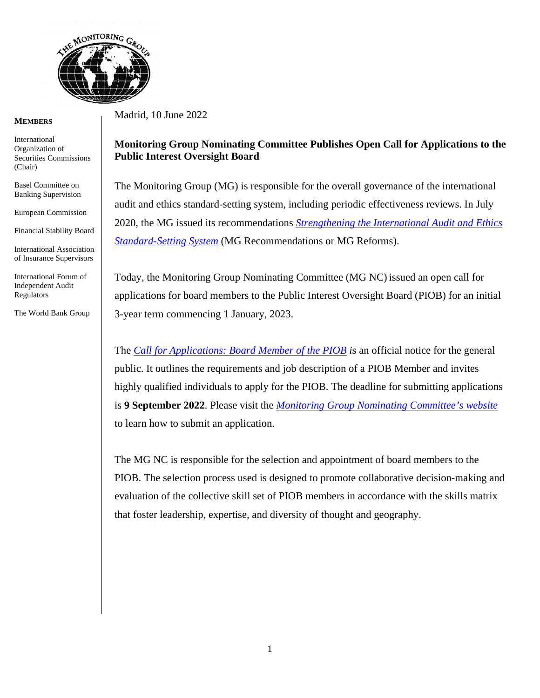

## **MEMBERS**

International Organization of Securities Commissions (Chair)

Basel Committee on Banking Supervision

European Commission

Financial Stability Board

International Association of Insurance Supervisors

International Forum of Independent Audit Regulators

The World Bank Group

Madrid, 10 June 2022

## **Monitoring Group Nominating Committee Publishes Open Call for Applications to the Public Interest Oversight Board**

The Monitoring Group (MG) is responsible for the overall governance of the international audit and ethics standard-setting system, including periodic effectiveness reviews. In July 2020, the MG issued its recommendations *[Strengthening the International Audit and Ethics](https://www.iosco.org/about/monitoring_group/pdf/2020-07-MG-Paper-Strengthening-The-International-Audit-And-Ethics-Standard-Setting-System.pdf)  [Standard-Setting System](https://www.iosco.org/about/monitoring_group/pdf/2020-07-MG-Paper-Strengthening-The-International-Audit-And-Ethics-Standard-Setting-System.pdf)* (MG Recommendations or MG Reforms).

Today, the Monitoring Group Nominating Committee (MG NC) issued an open call for applications for board members to the Public Interest Oversight Board (PIOB) for an initial 3-year term commencing 1 January, 2023.

The*[Call for Applications: Board Member of the PIOB](https://www.iosco.org/about/monitoring_group/pdf/Call-for-Applications-Board-Member-of-the-Public-Interest-Oversight-Board-PIOB.pdf) i*s an official notice for the general public. It outlines the requirements and job description of a PIOB Member and invites highly qualified individuals to apply for the PIOB. The deadline for submitting applications is **9 September 2022**. Please visit the*[Monitoring Group Nominating Committee's website](https://www.iosco.org/about/?subSection=monitoring_group&subSection1=mg_nominating_committee)* to learn how to submit an application.

The MG NC is responsible for the selection and appointment of board members to the PIOB. The selection process used is designed to promote collaborative decision-making and evaluation of the collective skill set of PIOB members in accordance with the skills matrix that foster leadership, expertise, and diversity of thought and geography.